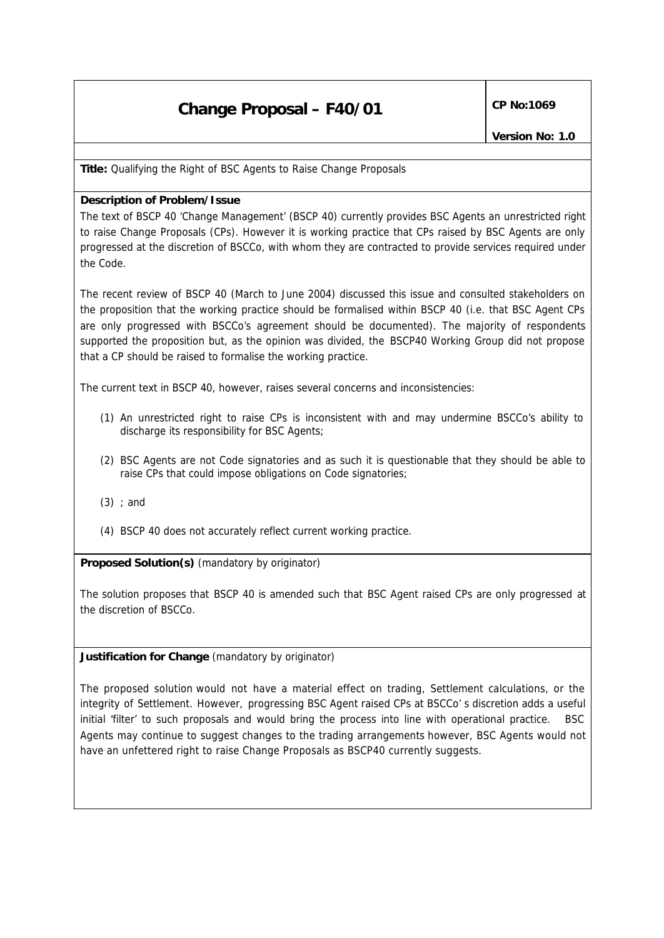## **Change Proposal – F40/01 CP No:1069**

**Title:** Qualifying the Right of BSC Agents to Raise Change Proposals

## **Description of Problem/Issue**

The text of BSCP 40 'Change Management' (BSCP 40) currently provides BSC Agents an unrestricted right to raise Change Proposals (CPs). However it is working practice that CPs raised by BSC Agents are only progressed at the discretion of BSCCo, with whom they are contracted to provide services required under the Code.

The recent review of BSCP 40 (March to June 2004) discussed this issue and consulted stakeholders on the proposition that the working practice should be formalised within BSCP 40 (i.e. that BSC Agent CPs are only progressed with BSCCo's agreement should be documented). The majority of respondents supported the proposition but, as the opinion was divided, the BSCP40 Working Group did not propose that a CP should be raised to formalise the working practice.

The current text in BSCP 40, however, raises several concerns and inconsistencies:

- (1) An unrestricted right to raise CPs is inconsistent with and may undermine BSCCo's ability to discharge its responsibility for BSC Agents;
- (2) BSC Agents are not Code signatories and as such it is questionable that they should be able to raise CPs that could impose obligations on Code signatories;
- (3) ; and
- (4) BSCP 40 does not accurately reflect current working practice.

**Proposed Solution(s)** *(mandatory by originator)*

The solution proposes that BSCP 40 is amended such that BSC Agent raised CPs are only progressed at the discretion of BSCCo.

## **Justification for Change** *(mandatory by originator)*

The proposed solution would not have a material effect on trading, Settlement calculations, or the integrity of Settlement. However, progressing BSC Agent raised CPs at BSCCo' s discretion adds a useful initial 'filter' to such proposals and would bring the process into line with operational practice. BSC Agents may continue to suggest changes to the trading arrangements however, BSC Agents would not have an unfettered right to raise Change Proposals as BSCP40 currently suggests.